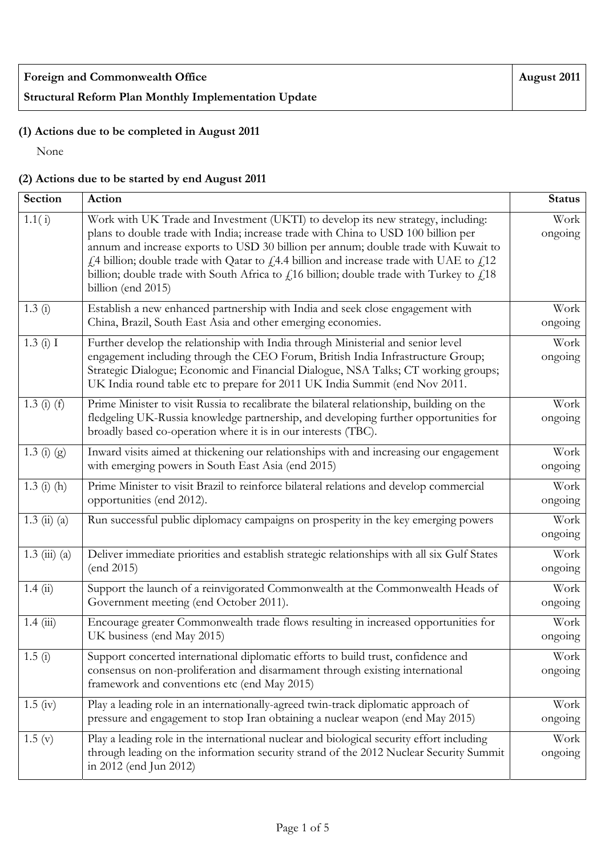## **(1) Actions due to be completed in August 2011**

None

## **(2) Actions due to be started by end August 2011**

| <b>Section</b>       | Action                                                                                                                                                                                                                                                                                                                                                                                                                                                                         | <b>Status</b>   |
|----------------------|--------------------------------------------------------------------------------------------------------------------------------------------------------------------------------------------------------------------------------------------------------------------------------------------------------------------------------------------------------------------------------------------------------------------------------------------------------------------------------|-----------------|
| 1.1(i)               | Work with UK Trade and Investment (UKTI) to develop its new strategy, including:<br>plans to double trade with India; increase trade with China to USD 100 billion per<br>annum and increase exports to USD 30 billion per annum; double trade with Kuwait to<br>£4 billion; double trade with Qatar to £4.4 billion and increase trade with UAE to £12<br>billion; double trade with South Africa to $f$ 16 billion; double trade with Turkey to $f$ 18<br>billion (end 2015) | Work<br>ongoing |
| 1.3(i)               | Establish a new enhanced partnership with India and seek close engagement with<br>China, Brazil, South East Asia and other emerging economies.                                                                                                                                                                                                                                                                                                                                 | Work<br>ongoing |
| 1.3(i) I             | Further develop the relationship with India through Ministerial and senior level<br>engagement including through the CEO Forum, British India Infrastructure Group;<br>Strategic Dialogue; Economic and Financial Dialogue, NSA Talks; CT working groups;<br>UK India round table etc to prepare for 2011 UK India Summit (end Nov 2011.                                                                                                                                       | Work<br>ongoing |
| $1.3$ (i) (f)        | Prime Minister to visit Russia to recalibrate the bilateral relationship, building on the<br>fledgeling UK-Russia knowledge partnership, and developing further opportunities for<br>broadly based co-operation where it is in our interests (TBC).                                                                                                                                                                                                                            | Work<br>ongoing |
| $1.3(j)$ (g)         | Inward visits aimed at thickening our relationships with and increasing our engagement<br>with emerging powers in South East Asia (end 2015)                                                                                                                                                                                                                                                                                                                                   | Work<br>ongoing |
| $1.3$ (i) (h)        | Prime Minister to visit Brazil to reinforce bilateral relations and develop commercial<br>opportunities (end 2012).                                                                                                                                                                                                                                                                                                                                                            | Work<br>ongoing |
| $1.3 \; (ii) \; (a)$ | Run successful public diplomacy campaigns on prosperity in the key emerging powers                                                                                                                                                                                                                                                                                                                                                                                             | Work<br>ongoing |
| $1.3 \ (iii) \ (a)$  | Deliver immediate priorities and establish strategic relationships with all six Gulf States<br>(end 2015)                                                                                                                                                                                                                                                                                                                                                                      | Work<br>ongoing |
| 1.4(ii)              | Support the launch of a reinvigorated Commonwealth at the Commonwealth Heads of<br>Government meeting (end October 2011).                                                                                                                                                                                                                                                                                                                                                      | Work<br>ongoing |
| 1.4(iii)             | Encourage greater Commonwealth trade flows resulting in increased opportunities for<br>UK business (end May 2015)                                                                                                                                                                                                                                                                                                                                                              | Work<br>ongoing |
| 1.5(i)               | Support concerted international diplomatic efforts to build trust, confidence and<br>consensus on non-proliferation and disarmament through existing international<br>framework and conventions etc (end May 2015)                                                                                                                                                                                                                                                             | Work<br>ongoing |
| $1.5 \; (iv)$        | Play a leading role in an internationally-agreed twin-track diplomatic approach of<br>pressure and engagement to stop Iran obtaining a nuclear weapon (end May 2015)                                                                                                                                                                                                                                                                                                           | Work<br>ongoing |
| 1.5(y)               | Play a leading role in the international nuclear and biological security effort including<br>through leading on the information security strand of the 2012 Nuclear Security Summit<br>in 2012 (end Jun 2012)                                                                                                                                                                                                                                                                  | Work<br>ongoing |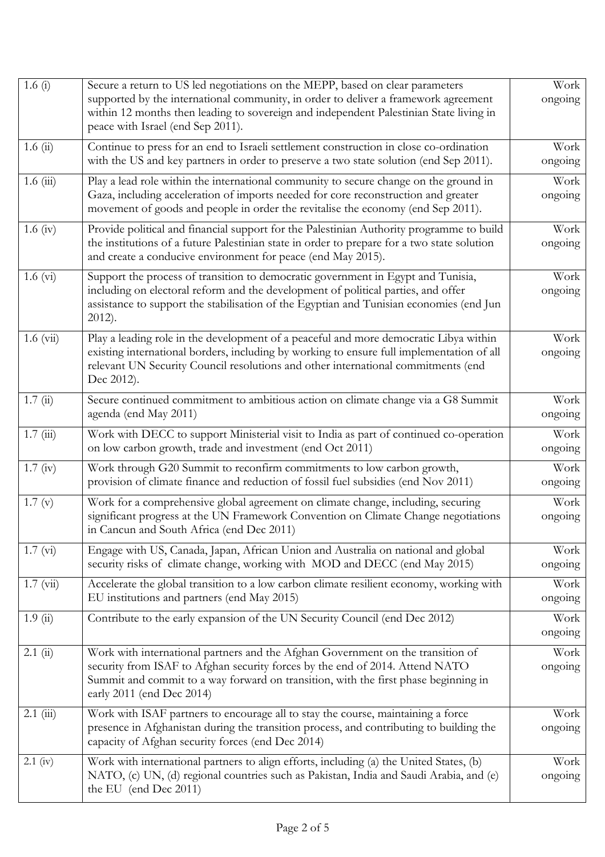| 1.6 $(i)$          | Secure a return to US led negotiations on the MEPP, based on clear parameters<br>supported by the international community, in order to deliver a framework agreement                                                                                                                  | Work<br>ongoing |
|--------------------|---------------------------------------------------------------------------------------------------------------------------------------------------------------------------------------------------------------------------------------------------------------------------------------|-----------------|
|                    | within 12 months then leading to sovereign and independent Palestinian State living in<br>peace with Israel (end Sep 2011).                                                                                                                                                           |                 |
| 1.6(i)             | Continue to press for an end to Israeli settlement construction in close co-ordination<br>with the US and key partners in order to preserve a two state solution (end Sep 2011).                                                                                                      | Work<br>ongoing |
| $1.6$ (iii)        | Play a lead role within the international community to secure change on the ground in<br>Gaza, including acceleration of imports needed for core reconstruction and greater<br>movement of goods and people in order the revitalise the economy (end Sep 2011).                       | Work<br>ongoing |
| $1.6 \text{ (iv)}$ | Provide political and financial support for the Palestinian Authority programme to build<br>the institutions of a future Palestinian state in order to prepare for a two state solution<br>and create a conducive environment for peace (end May 2015).                               | Work<br>ongoing |
| $1.6 \text{ (vi)}$ | Support the process of transition to democratic government in Egypt and Tunisia,<br>including on electoral reform and the development of political parties, and offer<br>assistance to support the stabilisation of the Egyptian and Tunisian economies (end Jun<br>$2012$ ).         | Work<br>ongoing |
| $1.6 \ (vi)$       | Play a leading role in the development of a peaceful and more democratic Libya within<br>existing international borders, including by working to ensure full implementation of all<br>relevant UN Security Council resolutions and other international commitments (end<br>Dec 2012). | Work<br>ongoing |
| 1.7(i)             | Secure continued commitment to ambitious action on climate change via a G8 Summit<br>agenda (end May 2011)                                                                                                                                                                            | Work<br>ongoing |
| 1.7(iii)           | Work with DECC to support Ministerial visit to India as part of continued co-operation<br>on low carbon growth, trade and investment (end Oct 2011)                                                                                                                                   | Work<br>ongoing |
| 1.7 (iv)           | Work through G20 Summit to reconfirm commitments to low carbon growth,<br>provision of climate finance and reduction of fossil fuel subsidies (end Nov 2011)                                                                                                                          | Work<br>ongoing |
| 1.7(y)             | Work for a comprehensive global agreement on climate change, including, securing<br>significant progress at the UN Framework Convention on Climate Change negotiations<br>in Cancun and South Africa (end Dec 2011)                                                                   | Work<br>ongoing |
| 1.7 (vi)           | Engage with US, Canada, Japan, African Union and Australia on national and global<br>security risks of climate change, working with MOD and DECC (end May 2015)                                                                                                                       | Work<br>ongoing |
| $1.7 \ (vi)$       | Accelerate the global transition to a low carbon climate resilient economy, working with<br>EU institutions and partners (end May 2015)                                                                                                                                               | Work<br>ongoing |
| 1.9(i)             | Contribute to the early expansion of the UN Security Council (end Dec 2012)                                                                                                                                                                                                           | Work<br>ongoing |
| 2.1(i)             | Work with international partners and the Afghan Government on the transition of<br>security from ISAF to Afghan security forces by the end of 2014. Attend NATO<br>Summit and commit to a way forward on transition, with the first phase beginning in<br>early 2011 (end Dec 2014)   | Work<br>ongoing |
| $2.1$ (iii)        | Work with ISAF partners to encourage all to stay the course, maintaining a force<br>presence in Afghanistan during the transition process, and contributing to building the<br>capacity of Afghan security forces (end Dec 2014)                                                      | Work<br>ongoing |
| $2.1$ (iv)         | Work with international partners to align efforts, including (a) the United States, (b)<br>NATO, (c) UN, (d) regional countries such as Pakistan, India and Saudi Arabia, and (e)<br>the EU (end Dec 2011)                                                                            | Work<br>ongoing |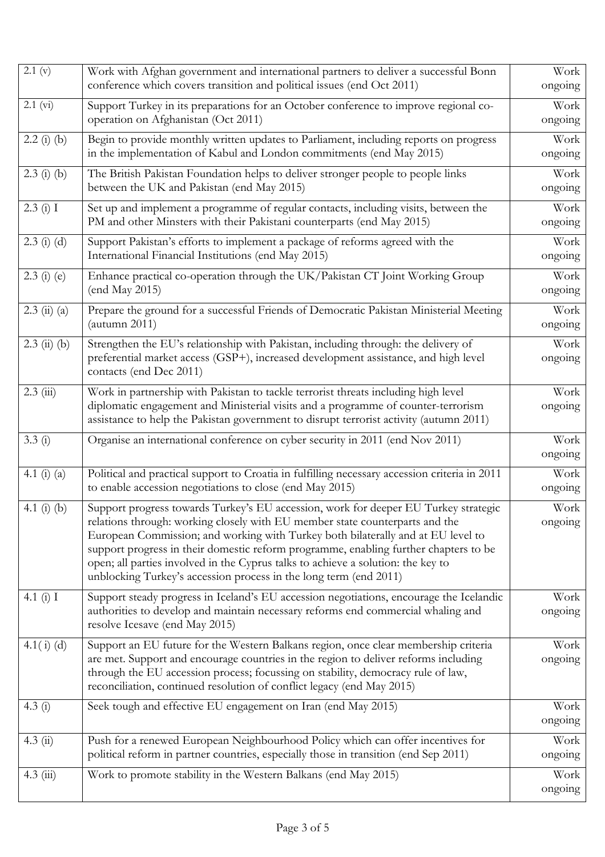| 2.1 (v)              | Work with Afghan government and international partners to deliver a successful Bonn                                                                                                                                                                                                                                                                                                                                                                                                                      | Work            |
|----------------------|----------------------------------------------------------------------------------------------------------------------------------------------------------------------------------------------------------------------------------------------------------------------------------------------------------------------------------------------------------------------------------------------------------------------------------------------------------------------------------------------------------|-----------------|
|                      | conference which covers transition and political issues (end Oct 2011)                                                                                                                                                                                                                                                                                                                                                                                                                                   | ongoing         |
| 2.1 (vi)             | Support Turkey in its preparations for an October conference to improve regional co-                                                                                                                                                                                                                                                                                                                                                                                                                     | Work            |
|                      | operation on Afghanistan (Oct 2011)                                                                                                                                                                                                                                                                                                                                                                                                                                                                      | ongoing         |
| $2.2$ (i) (b)        | Begin to provide monthly written updates to Parliament, including reports on progress<br>in the implementation of Kabul and London commitments (end May 2015)                                                                                                                                                                                                                                                                                                                                            | Work<br>ongoing |
| $2.3$ (i) (b)        | The British Pakistan Foundation helps to deliver stronger people to people links<br>between the UK and Pakistan (end May 2015)                                                                                                                                                                                                                                                                                                                                                                           | Work<br>ongoing |
| 2.3(i) I             | Set up and implement a programme of regular contacts, including visits, between the<br>PM and other Minsters with their Pakistani counterparts (end May 2015)                                                                                                                                                                                                                                                                                                                                            | Work<br>ongoing |
| $2.3$ (i) (d)        | Support Pakistan's efforts to implement a package of reforms agreed with the<br>International Financial Institutions (end May 2015)                                                                                                                                                                                                                                                                                                                                                                      | Work<br>ongoing |
| $2.3$ (i) (e)        | Enhance practical co-operation through the UK/Pakistan CT Joint Working Group<br>(end May 2015)                                                                                                                                                                                                                                                                                                                                                                                                          | Work<br>ongoing |
| $2.3 \; (ii) \; (a)$ | Prepare the ground for a successful Friends of Democratic Pakistan Ministerial Meeting<br>(autumn 2011)                                                                                                                                                                                                                                                                                                                                                                                                  | Work<br>ongoing |
| $2.3$ (ii) (b)       | Strengthen the EU's relationship with Pakistan, including through: the delivery of<br>preferential market access (GSP+), increased development assistance, and high level<br>contacts (end Dec 2011)                                                                                                                                                                                                                                                                                                     | Work<br>ongoing |
| $2.3$ (iii)          | Work in partnership with Pakistan to tackle terrorist threats including high level<br>diplomatic engagement and Ministerial visits and a programme of counter-terrorism<br>assistance to help the Pakistan government to disrupt terrorist activity (autumn 2011)                                                                                                                                                                                                                                        | Work<br>ongoing |
|                      |                                                                                                                                                                                                                                                                                                                                                                                                                                                                                                          |                 |
| 3.3(i)               | Organise an international conference on cyber security in 2011 (end Nov 2011)                                                                                                                                                                                                                                                                                                                                                                                                                            | Work<br>ongoing |
| 4.1 $(i)$ $(a)$      | Political and practical support to Croatia in fulfilling necessary accession criteria in 2011<br>to enable accession negotiations to close (end May 2015)                                                                                                                                                                                                                                                                                                                                                | Work<br>ongoing |
| 4.1 $(i)$ $(b)$      | Support progress towards Turkey's EU accession, work for deeper EU Turkey strategic<br>relations through: working closely with EU member state counterparts and the<br>European Commission; and working with Turkey both bilaterally and at EU level to<br>support progress in their domestic reform programme, enabling further chapters to be<br>open; all parties involved in the Cyprus talks to achieve a solution: the key to<br>unblocking Turkey's accession process in the long term (end 2011) | Work<br>ongoing |
| 4.1 $(i)$ I          | Support steady progress in Iceland's EU accession negotiations, encourage the Icelandic<br>authorities to develop and maintain necessary reforms end commercial whaling and<br>resolve Icesave (end May 2015)                                                                                                                                                                                                                                                                                            | Work<br>ongoing |
| 4.1 $(i)$ (d)        | Support an EU future for the Western Balkans region, once clear membership criteria<br>are met. Support and encourage countries in the region to deliver reforms including<br>through the EU accession process; focussing on stability, democracy rule of law,<br>reconciliation, continued resolution of conflict legacy (end May 2015)                                                                                                                                                                 | Work<br>ongoing |
| 4.3(i)               | Seek tough and effective EU engagement on Iran (end May 2015)                                                                                                                                                                                                                                                                                                                                                                                                                                            | Work<br>ongoing |
| $4.3 \ (ii)$         | Push for a renewed European Neighbourhood Policy which can offer incentives for<br>political reform in partner countries, especially those in transition (end Sep 2011)                                                                                                                                                                                                                                                                                                                                  | Work<br>ongoing |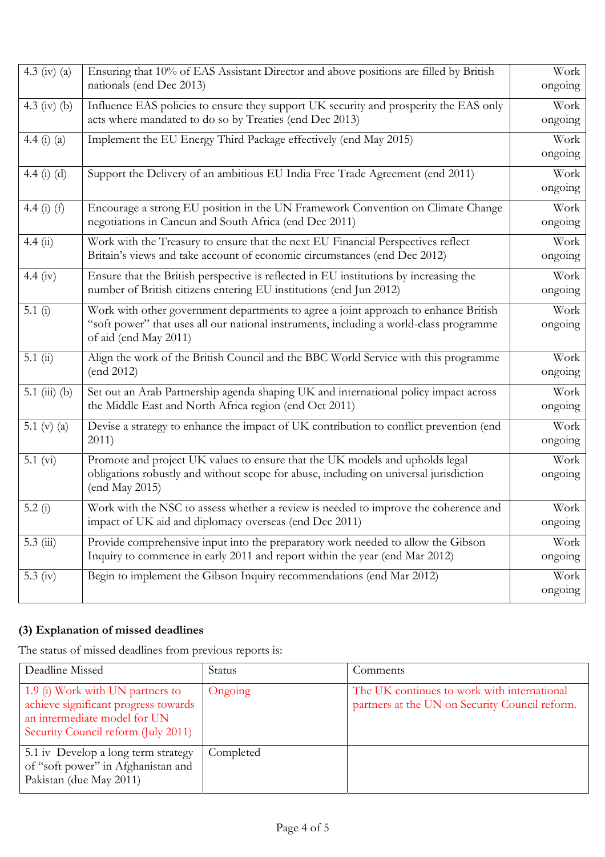| 4.3 (iv) (a)    | Ensuring that 10% of EAS Assistant Director and above positions are filled by British<br>nationals (end Dec 2013)                                                                                      | Work<br>ongoing |
|-----------------|--------------------------------------------------------------------------------------------------------------------------------------------------------------------------------------------------------|-----------------|
| 4.3 (iv) (b)    | Influence EAS policies to ensure they support UK security and prosperity the EAS only<br>acts where mandated to do so by Treaties (end Dec 2013)                                                       | Work<br>ongoing |
| 4.4 (i) (a)     | Implement the EU Energy Third Package effectively (end May 2015)                                                                                                                                       | Work<br>ongoing |
| 4.4 $(i)$ $(d)$ | Support the Delivery of an ambitious EU India Free Trade Agreement (end 2011)                                                                                                                          | Work<br>ongoing |
| 4.4 $(i)$ $(f)$ | Encourage a strong EU position in the UN Framework Convention on Climate Change<br>negotiations in Cancun and South Africa (end Dec 2011)                                                              | Work<br>ongoing |
| 4.4(ii)         | Work with the Treasury to ensure that the next EU Financial Perspectives reflect<br>Britain's views and take account of economic circumstances (end Dec 2012)                                          | Work<br>ongoing |
| 4.4 (iv)        | Ensure that the British perspective is reflected in EU institutions by increasing the<br>number of British citizens entering EU institutions (end Jun 2012)                                            | Work<br>ongoing |
| 5.1 $(i)$       | Work with other government departments to agree a joint approach to enhance British<br>"soft power" that uses all our national instruments, including a world-class programme<br>of aid (end May 2011) | Work<br>ongoing |
| 5.1(i)          | Align the work of the British Council and the BBC World Service with this programme<br>(end 2012)                                                                                                      | Work<br>ongoing |
| 5.1 (iii) (b)   | Set out an Arab Partnership agenda shaping UK and international policy impact across<br>the Middle East and North Africa region (end Oct 2011)                                                         | Work<br>ongoing |
| 5.1 (v) $(a)$   | Devise a strategy to enhance the impact of UK contribution to conflict prevention (end<br>2011)                                                                                                        | Work<br>ongoing |
| $5.1 \; (vi)$   | Promote and project UK values to ensure that the UK models and upholds legal<br>obligations robustly and without scope for abuse, including on universal jurisdiction<br>(end May 2015)                | Work<br>ongoing |
| 5.2(i)          | Work with the NSC to assess whether a review is needed to improve the coherence and<br>impact of UK aid and diplomacy overseas (end Dec 2011)                                                          | Work<br>ongoing |
| $5.3 \ (iii)$   | Provide comprehensive input into the preparatory work needed to allow the Gibson<br>Inquiry to commence in early 2011 and report within the year (end Mar 2012)                                        | Work<br>ongoing |
| 5.3 (iv)        | Begin to implement the Gibson Inquiry recommendations (end Mar 2012)                                                                                                                                   | Work<br>ongoing |

## **(3) Explanation of missed deadlines**

The status of missed deadlines from previous reports is:

| Deadline Missed                                                                                                                                 | <b>Status</b> | Comments                                                                                      |
|-------------------------------------------------------------------------------------------------------------------------------------------------|---------------|-----------------------------------------------------------------------------------------------|
| 1.9 (i) Work with UN partners to<br>achieve significant progress towards<br>an intermediate model for UN<br>Security Council reform (July 2011) | Ongoing       | The UK continues to work with international<br>partners at the UN on Security Council reform. |
| 5.1 iv Develop a long term strategy<br>of "soft power" in Afghanistan and<br>Pakistan (due May 2011)                                            | Completed     |                                                                                               |